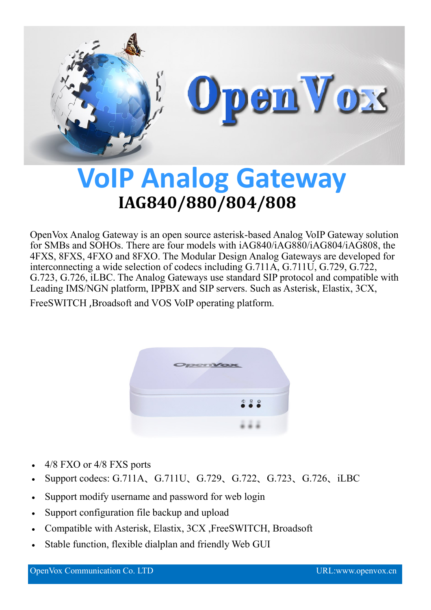

## **VoIP Analog Gateway IAG840/880/804/808**

OpenVox Analog Gateway is an open source asterisk-based Analog VoIP Gateway solution for SMBs and SOHOs. There are four models with iAG840/iAG880/iAG804/iAG808, the 4FXS, 8FXS, 4FXO and 8FXO. The Modular Design Analog Gateways are developed for interconnecting a wide selection of codecs including G.711A, G.711U, G.729, G.722, G.723, G.726, iLBC. The Analog Gateways use standard SIP protocol and compatible with Leading IMS/NGN platform, IPPBX and SIP servers. Such as Asterisk, Elastix, 3CX,

FreeSWITCH ,Broadsoft and VOS VoIP operating platform.



- 4/8 FXO or 4/8 FXS ports
- Support codecs: G.711A、G.711U、G.729、G.722、G.723、G.726、iLBC
- Support modify username and password for web login
- Support configuration file backup and upload
- Compatible with Asterisk, Elastix, 3CX ,FreeSWITCH, Broadsoft
- Stable function, flexible dialplan and friendly Web GUI